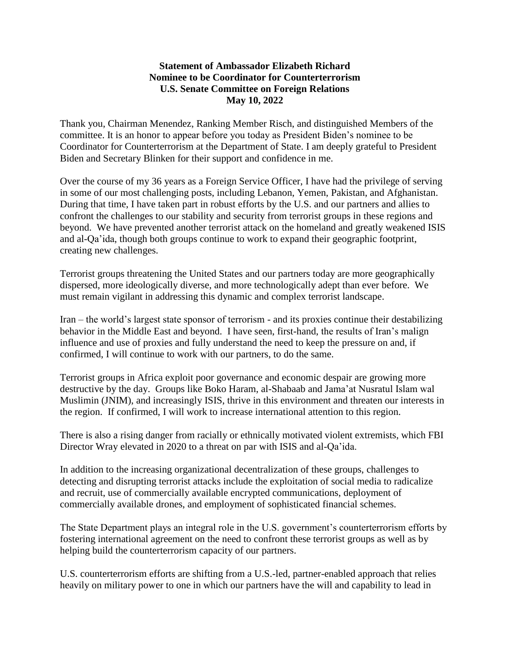## **Statement of Ambassador Elizabeth Richard Nominee to be Coordinator for Counterterrorism U.S. Senate Committee on Foreign Relations May 10, 2022**

Thank you, Chairman Menendez, Ranking Member Risch, and distinguished Members of the committee. It is an honor to appear before you today as President Biden's nominee to be Coordinator for Counterterrorism at the Department of State. I am deeply grateful to President Biden and Secretary Blinken for their support and confidence in me.

Over the course of my 36 years as a Foreign Service Officer, I have had the privilege of serving in some of our most challenging posts, including Lebanon, Yemen, Pakistan, and Afghanistan. During that time, I have taken part in robust efforts by the U.S. and our partners and allies to confront the challenges to our stability and security from terrorist groups in these regions and beyond. We have prevented another terrorist attack on the homeland and greatly weakened ISIS and al-Qa'ida, though both groups continue to work to expand their geographic footprint, creating new challenges.

Terrorist groups threatening the United States and our partners today are more geographically dispersed, more ideologically diverse, and more technologically adept than ever before. We must remain vigilant in addressing this dynamic and complex terrorist landscape.

Iran – the world's largest state sponsor of terrorism - and its proxies continue their destabilizing behavior in the Middle East and beyond. I have seen, first-hand, the results of Iran's malign influence and use of proxies and fully understand the need to keep the pressure on and, if confirmed, I will continue to work with our partners, to do the same.

Terrorist groups in Africa exploit poor governance and economic despair are growing more destructive by the day. Groups like Boko Haram, al-Shabaab and Jama'at Nusratul Islam wal Muslimin (JNIM), and increasingly ISIS, thrive in this environment and threaten our interests in the region. If confirmed, I will work to increase international attention to this region.

There is also a rising danger from racially or ethnically motivated violent extremists, which FBI Director Wray elevated in 2020 to a threat on par with ISIS and al-Qa'ida.

In addition to the increasing organizational decentralization of these groups, challenges to detecting and disrupting terrorist attacks include the exploitation of social media to radicalize and recruit, use of commercially available encrypted communications, deployment of commercially available drones, and employment of sophisticated financial schemes.

The State Department plays an integral role in the U.S. government's counterterrorism efforts by fostering international agreement on the need to confront these terrorist groups as well as by helping build the counterterrorism capacity of our partners.

U.S. counterterrorism efforts are shifting from a U.S.-led, partner-enabled approach that relies heavily on military power to one in which our partners have the will and capability to lead in